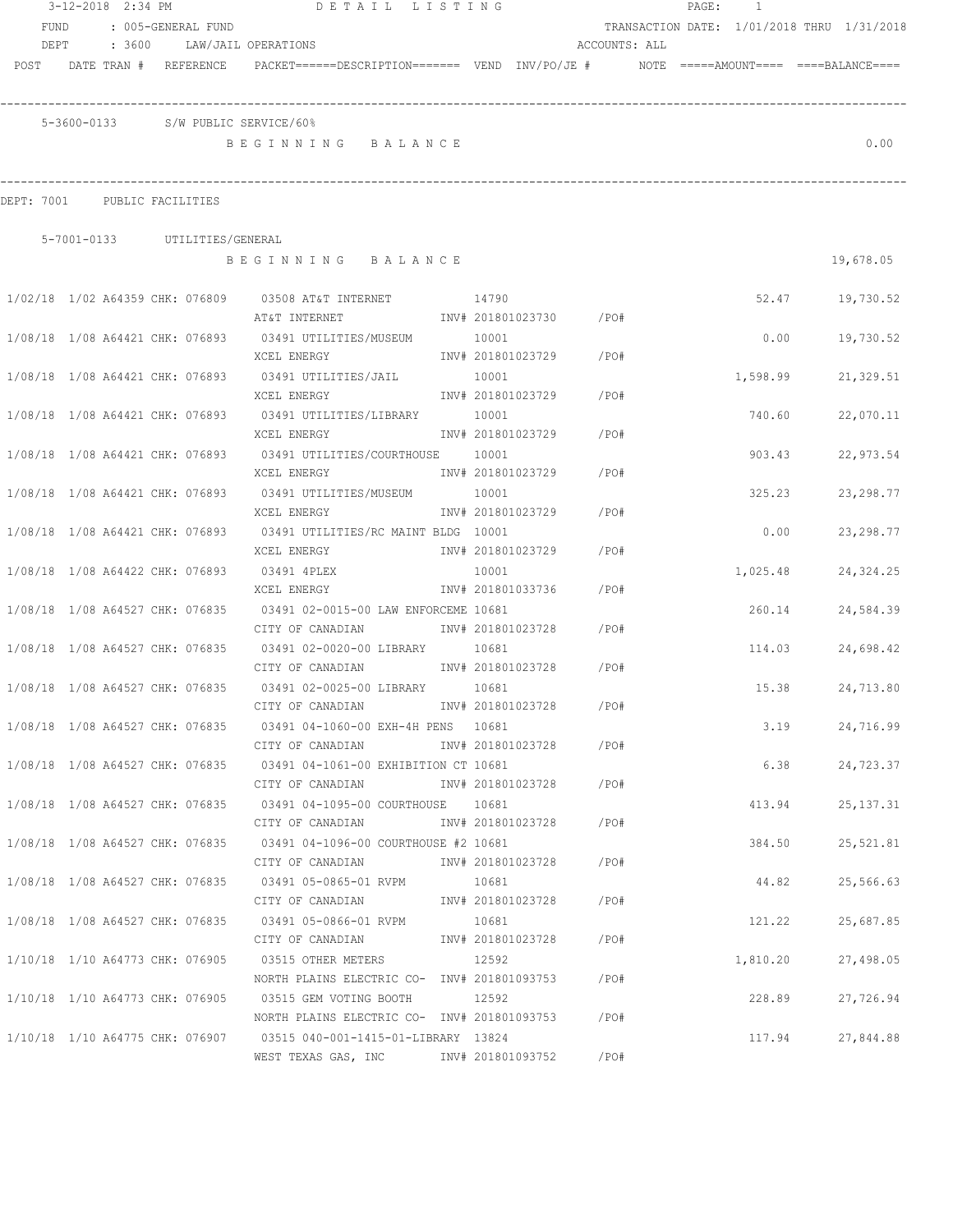|                                 | 3-12-2018 2:34 PM |                               | DETAIL LISTING                                                                           |       |                        |               | PAGE: | $\overline{1}$ |                                            |  |
|---------------------------------|-------------------|-------------------------------|------------------------------------------------------------------------------------------|-------|------------------------|---------------|-------|----------------|--------------------------------------------|--|
| FUND                            |                   | : 005-GENERAL FUND            |                                                                                          |       |                        |               |       |                | TRANSACTION DATE: 1/01/2018 THRU 1/31/2018 |  |
| DEPT                            | : 3600            |                               | LAW/JAIL OPERATIONS                                                                      |       |                        | ACCOUNTS: ALL |       |                |                                            |  |
| POST DATE TRAN # REFERENCE      |                   |                               | PACKET======DESCRIPTION======= VEND INV/PO/JE #    NOTE =====AMOUNT==== ====BALANCE====  |       |                        |               |       |                |                                            |  |
|                                 |                   |                               | 5-3600-0133 S/W PUBLIC SERVICE/60%                                                       |       |                        |               |       |                |                                            |  |
|                                 |                   |                               | BEGINNING BALANCE                                                                        |       |                        |               |       |                | 0.00                                       |  |
|                                 |                   |                               |                                                                                          |       |                        |               |       |                |                                            |  |
|                                 |                   |                               |                                                                                          |       |                        |               |       |                |                                            |  |
| DEPT: 7001                      | PUBLIC FACILITIES |                               |                                                                                          |       |                        |               |       |                |                                            |  |
|                                 |                   |                               |                                                                                          |       |                        |               |       |                |                                            |  |
|                                 |                   | 5-7001-0133 UTILITIES/GENERAL | BEGINNING BALANCE                                                                        |       |                        |               |       |                | 19,678.05                                  |  |
|                                 |                   |                               | 1/02/18 1/02 A64359 CHK: 076809 03508 AT&T INTERNET 14790                                |       |                        |               |       | 52.47          | 19,730.52                                  |  |
|                                 |                   |                               | AT&T INTERNET                                 INV# 201801023730           /PO#           |       |                        |               |       |                |                                            |  |
|                                 |                   |                               | 1/08/18 1/08 A64421 CHK: 076893 03491 UTILITIES/MUSEUM 10001                             |       |                        |               |       | 0.00           | 19,730.52                                  |  |
|                                 |                   |                               | XCEL ENERGY                                                                              |       | INV# 201801023729 /PO# |               |       |                |                                            |  |
|                                 |                   |                               | 1/08/18 1/08 A64421 CHK: 076893 03491 UTILITIES/JAIL 10001                               |       |                        |               |       | 1,598.99       | 21,329.51                                  |  |
|                                 |                   |                               | XCEL ENERGY                                                                              |       | INV# 201801023729 /PO# |               |       |                |                                            |  |
|                                 |                   |                               | 1/08/18 1/08 A64421 CHK: 076893 03491 UTILITIES/LIBRARY 10001                            |       |                        |               |       | 740.60         | 22,070.11                                  |  |
|                                 |                   |                               | XCEL ENERGY                                                                              |       | INV# 201801023729      | /PO#          |       |                |                                            |  |
| 1/08/18 1/08 A64421 CHK: 076893 |                   |                               | 03491 UTILITIES/COURTHOUSE 10001                                                         |       |                        |               |       | 903.43         | 22,973.54                                  |  |
|                                 |                   |                               | XCEL ENERGY                                                                              |       | INV# 201801023729      | /PO#          |       |                |                                            |  |
| 1/08/18 1/08 A64421 CHK: 076893 |                   |                               | 03491 UTILITIES/MUSEUM                                                                   | 10001 |                        |               |       | 325.23         | 23, 298.77                                 |  |
|                                 |                   |                               | XCEL ENERGY                                                                              |       | INV# 201801023729      | /PO#          |       |                |                                            |  |
| 1/08/18 1/08 A64421 CHK: 076893 |                   |                               | 03491 UTILITIES/RC MAINT BLDG 10001                                                      |       |                        |               |       | 0.00           | 23, 298.77                                 |  |
|                                 |                   |                               | XCEL ENERGY                                                                              |       | INV# 201801023729      | /PO#          |       |                |                                            |  |
| 1/08/18 1/08 A64422 CHK: 076893 |                   |                               | 03491 4PLEX                                                                              | 10001 |                        |               |       | 1,025.48       | 24,324.25                                  |  |
|                                 |                   |                               | XCEL ENERGY                                                                              |       | INV# 201801033736      | /PO#          |       |                |                                            |  |
| 1/08/18 1/08 A64527 CHK: 076835 |                   |                               | 03491 02-0015-00 LAW ENFORCEME 10681                                                     |       |                        |               |       | 260.14         | 24,584.39                                  |  |
|                                 |                   |                               | CITY OF CANADIAN                                                                         |       | INV# 201801023728      | /PO#          |       |                |                                            |  |
| 1/08/18 1/08 A64527 CHK: 076835 |                   |                               | 03491 02-0020-00 LIBRARY 10681                                                           |       |                        |               |       | 114.03         | 24,698.42                                  |  |
|                                 |                   |                               | CITY OF CANADIAN MW# 201801023728 /PO#                                                   |       |                        |               |       |                |                                            |  |
| 1/08/18 1/08 A64527 CHK: 076835 |                   |                               | 03491 02-0025-00 LIBRARY 10681                                                           |       |                        |               |       | 15.38          | 24,713.80                                  |  |
|                                 |                   |                               | CITY OF CANADIAN                                                                         |       | INV# 201801023728      | /PO#          |       |                |                                            |  |
|                                 |                   |                               | 1/08/18 1/08 A64527 CHK: 076835 03491 04-1060-00 EXH-4H PENS 10681                       |       |                        |               |       | 3.19           | 24,716.99                                  |  |
|                                 |                   |                               | CITY OF CANADIAN                                                                         |       | INV# 201801023728 /PO# |               |       |                |                                            |  |
|                                 |                   |                               | 1/08/18 1/08 A64527 CHK: 076835 03491 04-1061-00 EXHIBITION CT 10681                     |       |                        |               |       | 6.38           | 24,723.37                                  |  |
|                                 |                   |                               | CITY OF CANADIAN                                                                         |       | INV# 201801023728 /PO# |               |       |                |                                            |  |
|                                 |                   |                               | 1/08/18 1/08 A64527 CHK: 076835 03491 04-1095-00 COURTHOUSE 10681                        |       |                        |               |       | 413.94         | 25, 137. 31                                |  |
|                                 |                   |                               | CITY OF CANADIAN                                                                         |       | INV# 201801023728 /PO# |               |       | 384.50         |                                            |  |
|                                 |                   |                               | 1/08/18 1/08 A64527 CHK: 076835 03491 04-1096-00 COURTHOUSE #2 10681<br>CITY OF CANADIAN |       | INV# 201801023728 /PO# |               |       |                | 25,521.81                                  |  |
|                                 |                   |                               | 1/08/18  1/08  A64527  CHK: 076835  03491  05-0865-01  RVPM                              |       |                        |               |       |                |                                            |  |
|                                 |                   |                               | CITY OF CANADIAN                                                                         | 10681 | INV# 201801023728 /PO# |               |       | 44.82          | 25,566.63                                  |  |
|                                 |                   |                               | 1/08/18  1/08  A64527  CHK: 076835  03491  05-0866-01  RVPM                              | 10681 |                        |               |       | 121.22         | 25,687.85                                  |  |
|                                 |                   |                               | CITY OF CANADIAN                                                                         |       | INV# 201801023728 /PO# |               |       |                |                                            |  |
|                                 |                   |                               | 1/10/18  1/10  A64773  CHK: 076905  03515  OTHER METERS                                  | 12592 |                        |               |       | 1,810.20       | 27,498.05                                  |  |
|                                 |                   |                               | NORTH PLAINS ELECTRIC CO- INV# 201801093753 / PO#                                        |       |                        |               |       |                |                                            |  |
|                                 |                   |                               | 1/10/18 1/10 A64773 CHK: 076905 03515 GEM VOTING BOOTH 12592                             |       |                        |               |       | 228.89         | 27,726.94                                  |  |
|                                 |                   |                               | NORTH PLAINS ELECTRIC CO- INV# 201801093753 / PO#                                        |       |                        |               |       |                |                                            |  |
|                                 |                   |                               | 1/10/18 1/10 A64775 CHK: 076907 03515 040-001-1415-01-LIBRARY 13824                      |       |                        |               |       | 117.94         | 27,844.88                                  |  |
|                                 |                   |                               | WEST TEXAS GAS, INC METALLY 101801093752                                                 |       |                        | /PO#          |       |                |                                            |  |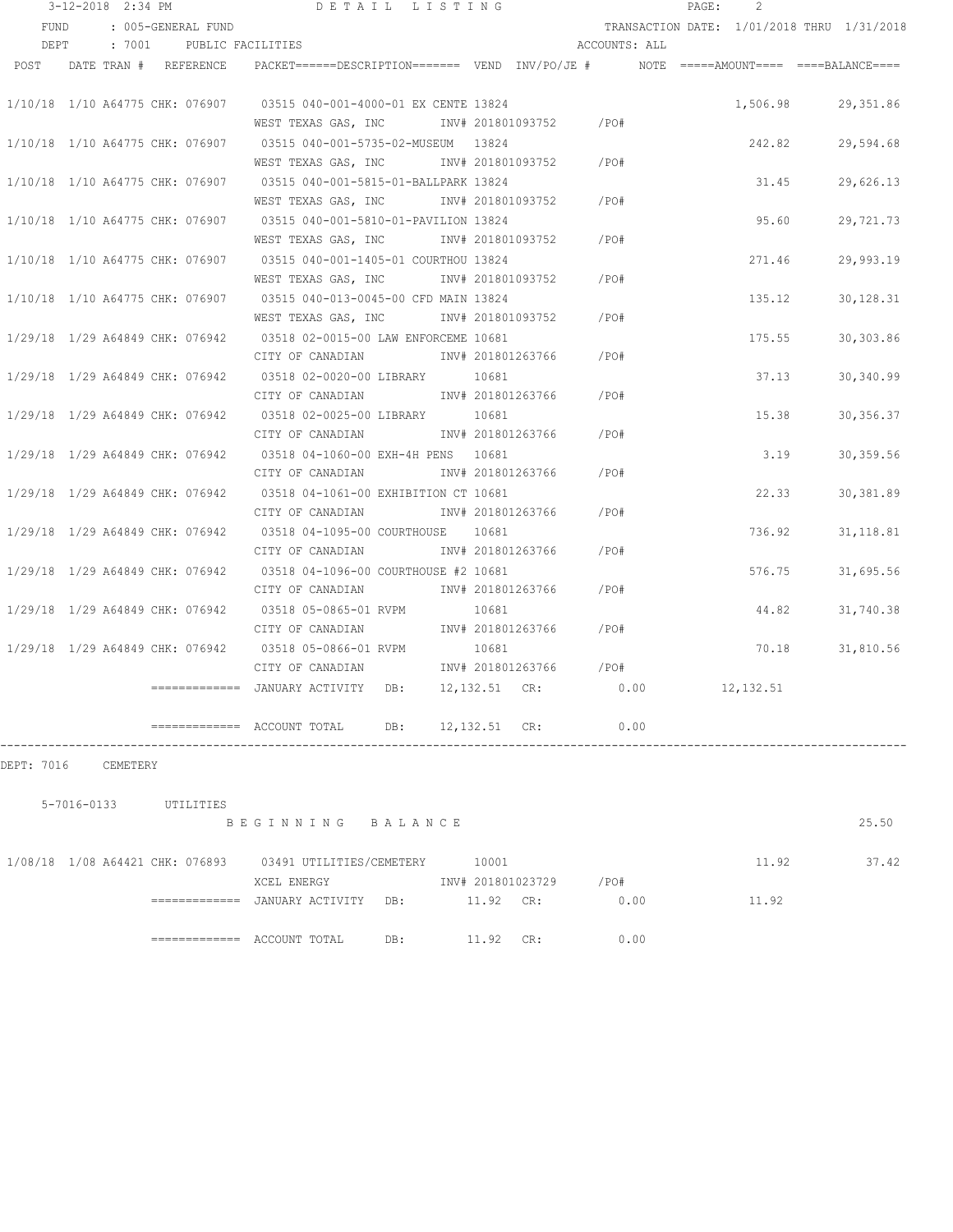|                                 | 3-12-2018 2:34 PM |                          | DETAIL LISTING                                                                       |  |               |                   |                        | PAGE: | $\mathcal{L}$ |                                            |
|---------------------------------|-------------------|--------------------------|--------------------------------------------------------------------------------------|--|---------------|-------------------|------------------------|-------|---------------|--------------------------------------------|
| FUND                            |                   | : 005-GENERAL FUND       |                                                                                      |  |               |                   |                        |       |               | TRANSACTION DATE: 1/01/2018 THRU 1/31/2018 |
| DEPT                            |                   | : 7001 PUBLIC FACILITIES |                                                                                      |  |               |                   | ACCOUNTS: ALL          |       |               |                                            |
| POST DATE TRAN # REFERENCE      |                   |                          | PACKET======DESCRIPTION======= VEND INV/PO/JE # NOTE =====AMOUNT==== ====BALANCE==== |  |               |                   |                        |       |               |                                            |
|                                 |                   |                          |                                                                                      |  |               |                   |                        |       |               |                                            |
|                                 |                   |                          | 1/10/18 1/10 A64775 CHK: 076907 03515 040-001-4000-01 EX CENTE 13824                 |  |               |                   |                        |       | 1,506.98      | 29,351.86                                  |
|                                 |                   |                          | WEST TEXAS GAS, INC NOT INV# 201801093752                                            |  |               |                   | /PO#                   |       |               |                                            |
| 1/10/18 1/10 A64775 CHK: 076907 |                   |                          | 03515 040-001-5735-02-MUSEUM 13824                                                   |  |               |                   |                        |       | 242.82        | 29,594.68                                  |
|                                 |                   |                          | WEST TEXAS GAS, INC MOV# 201801093752 / PO#                                          |  |               |                   |                        |       |               |                                            |
|                                 |                   |                          | 1/10/18 1/10 A64775 CHK: 076907 03515 040-001-5815-01-BALLPARK 13824                 |  |               |                   |                        |       | 31.45         | 29,626.13                                  |
|                                 |                   |                          | WEST TEXAS GAS, INC MONTH 201801093752 / PO#                                         |  |               |                   |                        |       |               |                                            |
|                                 |                   |                          | 1/10/18 1/10 A64775 CHK: 076907 03515 040-001-5810-01-PAVILION 13824                 |  |               |                   |                        |       | 95.60         | 29,721.73                                  |
|                                 |                   |                          | WEST TEXAS GAS, INC MONTH 201801093752 / PO#                                         |  |               |                   |                        |       |               |                                            |
|                                 |                   |                          | 1/10/18 1/10 A64775 CHK: 076907 03515 040-001-1405-01 COURTHOU 13824                 |  |               |                   |                        |       | 271.46        | 29,993.19                                  |
|                                 |                   |                          | WEST TEXAS GAS, INC MONTH 201801093752 / PO#                                         |  |               |                   |                        |       |               |                                            |
| 1/10/18 1/10 A64775 CHK: 076907 |                   |                          | 03515 040-013-0045-00 CFD MAIN 13824                                                 |  |               |                   |                        |       | 135.12        | 30, 128.31                                 |
|                                 |                   |                          | WEST TEXAS GAS, INC MONTH 201801093752                                               |  |               |                   | $/$ PO#                |       |               |                                            |
| 1/29/18 1/29 A64849 CHK: 076942 |                   |                          | 03518 02-0015-00 LAW ENFORCEME 10681                                                 |  |               |                   |                        |       | 175.55        | 30,303.86                                  |
|                                 |                   |                          | CITY OF CANADIAN MW# 201801263766                                                    |  |               |                   | $/$ PO#                |       |               |                                            |
| 1/29/18 1/29 A64849 CHK: 076942 |                   |                          | 03518 02-0020-00 LIBRARY 10681                                                       |  |               |                   |                        |       | 37.13         | 30,340.99                                  |
|                                 |                   |                          | CITY OF CANADIAN MW# 201801263766                                                    |  |               |                   | $/$ PO#                |       |               |                                            |
| 1/29/18 1/29 A64849 CHK: 076942 |                   |                          | 03518 02-0025-00 LIBRARY 10681                                                       |  |               |                   |                        |       | 15.38         | 30, 356.37                                 |
|                                 |                   |                          | CITY OF CANADIAN                                                                     |  |               | INV# 201801263766 | /PO#                   |       |               |                                            |
| 1/29/18 1/29 A64849 CHK: 076942 |                   |                          | 03518 04-1060-00 EXH-4H PENS 10681                                                   |  |               |                   |                        |       | 3.19          | 30, 359.56                                 |
|                                 |                   |                          | CITY OF CANADIAN                                                                     |  |               | INV# 201801263766 | /PO#                   |       |               |                                            |
| 1/29/18 1/29 A64849 CHK: 076942 |                   |                          | 03518 04-1061-00 EXHIBITION CT 10681                                                 |  |               |                   |                        |       | 22.33         | 30,381.89                                  |
|                                 |                   |                          | CITY OF CANADIAN                                                                     |  |               | INV# 201801263766 | /PO#                   |       |               |                                            |
| 1/29/18 1/29 A64849 CHK: 076942 |                   |                          | 03518 04-1095-00 COURTHOUSE 10681                                                    |  |               |                   |                        |       | 736.92        | 31, 118.81                                 |
|                                 |                   |                          | CITY OF CANADIAN                                                                     |  |               |                   | INV# 201801263766 /PO# |       |               |                                            |
| 1/29/18 1/29 A64849 CHK: 076942 |                   |                          | 03518 04-1096-00 COURTHOUSE #2 10681                                                 |  |               |                   |                        |       | 576.75        | 31,695.56                                  |
|                                 |                   |                          | CITY OF CANADIAN                                                                     |  |               |                   | INV# 201801263766 /PO# |       |               |                                            |
| 1/29/18 1/29 A64849 CHK: 076942 |                   |                          | 03518 05-0865-01 RVPM                                                                |  | 10681         |                   |                        |       | 44.82         | 31,740.38                                  |
|                                 |                   |                          | CITY OF CANADIAN                                                                     |  |               |                   | INV# 201801263766 /PO# |       |               |                                            |
|                                 |                   |                          | 1/29/18 1/29 A64849 CHK: 076942 03518 05-0866-01 RVPM                                |  | 10681         |                   |                        |       |               | 70.18 31,810.56                            |
|                                 |                   |                          | CITY OF CANADIAN                                                                     |  |               | INV# 201801263766 | $/$ PO#                |       |               |                                            |
|                                 |                   |                          | ============ JANUARY ACTIVITY DB:                                                    |  |               | 12,132.51 CR:     | 0.00                   |       | 12,132.51     |                                            |
|                                 |                   |                          |                                                                                      |  |               |                   |                        |       |               |                                            |
|                                 |                   |                          |                                                                                      |  | 12,132.51 CR: |                   | 0.00                   |       |               |                                            |

DEPT: 7016 CEMETERY

| 5-7016-0133                     | UTILITIES     | BEGINNING                       | BALANCE |                            |     |              |       | 25.50 |
|---------------------------------|---------------|---------------------------------|---------|----------------------------|-----|--------------|-------|-------|
| 1/08/18 1/08 A64421 CHK: 076893 |               | 03491 UTILITIES/CEMETERY        |         | 10001                      |     |              | 11.92 | 37.42 |
|                                 | ============= | XCEL ENERGY<br>JANUARY ACTIVITY | DB:     | INV# 201801023729<br>11.92 | CR: | /PO#<br>0.00 | 11.92 |       |
|                                 | ============= | ACCOUNT TOTAL                   | DB:     | 11.92                      | CR: | 0.00         |       |       |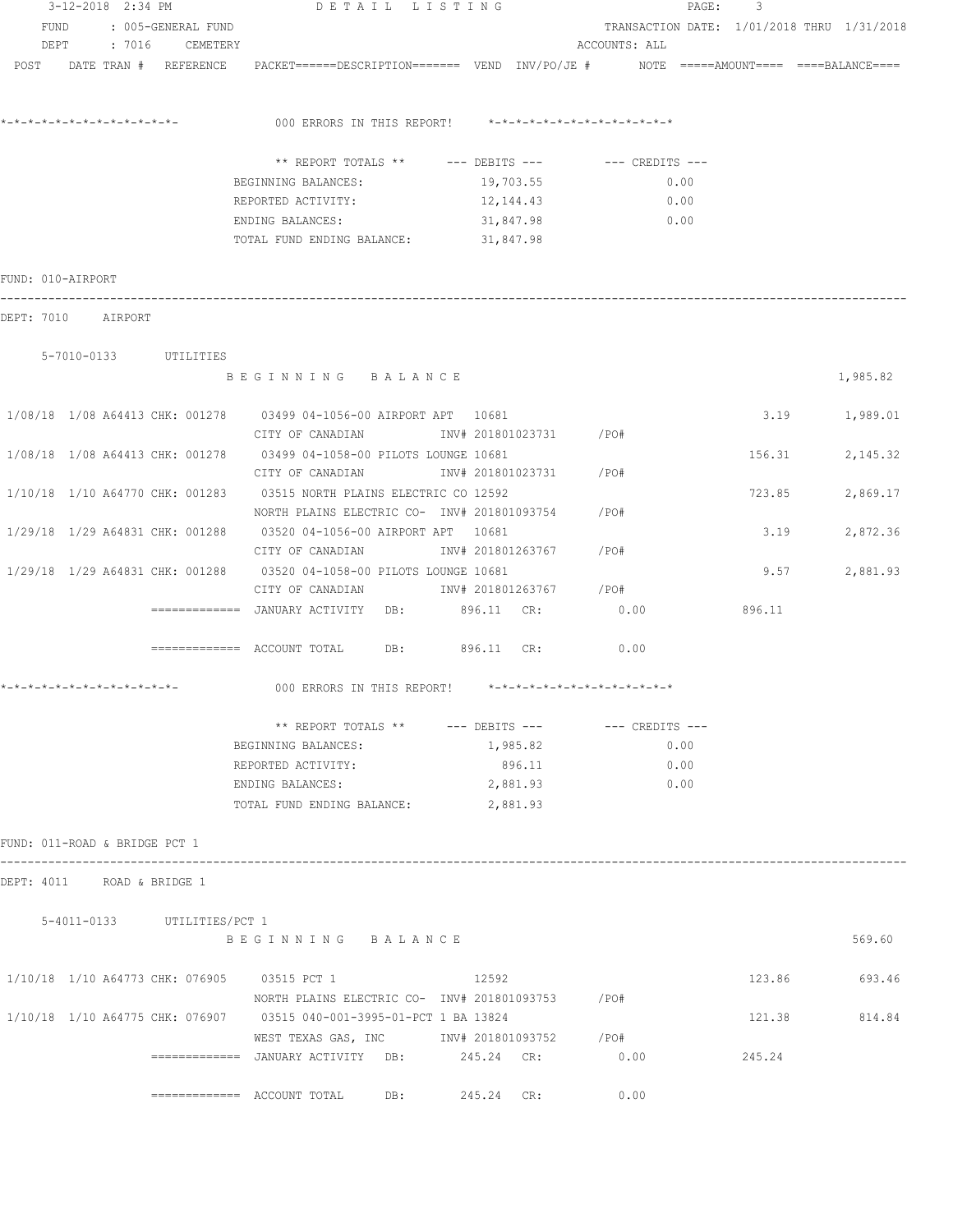|                               |  | 3-12-2018 2:34 PM           | DETAIL LISTING                                                                                                                                                                                                                |             |               | PAGE:<br>3                                 |                  |
|-------------------------------|--|-----------------------------|-------------------------------------------------------------------------------------------------------------------------------------------------------------------------------------------------------------------------------|-------------|---------------|--------------------------------------------|------------------|
|                               |  | FUND : 005-GENERAL FUND     |                                                                                                                                                                                                                               |             |               | TRANSACTION DATE: 1/01/2018 THRU 1/31/2018 |                  |
|                               |  | DEPT : 7016 CEMETERY        |                                                                                                                                                                                                                               |             | ACCOUNTS: ALL |                                            |                  |
|                               |  |                             | POST DATE TRAN # REFERENCE PACKET======DESCRIPTION======= VEND INV/PO/JE # NOTE =====AMOUNT==== ====BALANCE====                                                                                                               |             |               |                                            |                  |
|                               |  |                             |                                                                                                                                                                                                                               |             |               |                                            |                  |
|                               |  |                             | 000 ERRORS IN THIS REPORT! $*-*-*-*-*-*-*-*-*-*-*-*-*-*-**$                                                                                                                                                                   |             |               |                                            |                  |
|                               |  |                             | ** REPORT TOTALS ** --- DEBITS --- -- -- CREDITS ---                                                                                                                                                                          |             |               |                                            |                  |
|                               |  |                             | BEGINNING BALANCES:                                                                                                                                                                                                           | 19, 703. 55 |               | 0.00                                       |                  |
|                               |  |                             | REPORTED ACTIVITY: 12, 144.43                                                                                                                                                                                                 |             |               | 0.00                                       |                  |
|                               |  |                             | ENDING BALANCES: The Same of the Second Second Second Second Second Second Second Second Second Second Second Second Second Second Second Second Second Second Second Second Second Second Second Second Second Second Second | 31,847.98   | 0.00          |                                            |                  |
|                               |  |                             | TOTAL FUND ENDING BALANCE: 31,847.98                                                                                                                                                                                          |             |               |                                            |                  |
| FUND: 010-AIRPORT             |  |                             |                                                                                                                                                                                                                               |             |               |                                            |                  |
| DEPT: 7010 AIRPORT            |  |                             |                                                                                                                                                                                                                               |             |               |                                            |                  |
|                               |  | 5-7010-0133 UTILITIES       |                                                                                                                                                                                                                               |             |               |                                            |                  |
|                               |  |                             | BEGINNING BALANCE                                                                                                                                                                                                             |             |               |                                            | 1,985.82         |
|                               |  |                             | 1/08/18  1/08  A64413  CHK: 001278   03499  04-1056-00  AIRPORT  APT   10681                                                                                                                                                  |             |               |                                            | 3.19 1,989.01    |
|                               |  |                             | CITY OF CANADIAN                INV# 201801023731         /PO#                                                                                                                                                                |             |               |                                            |                  |
|                               |  |                             | 1/08/18 1/08 A64413 CHK: 001278 03499 04-1058-00 PILOTS LOUNGE 10681                                                                                                                                                          |             |               | 156.31                                     | 2,145.32         |
|                               |  |                             | CITY OF CANADIAN                         INV# 201801023731           /PO#                                                                                                                                                     |             |               |                                            |                  |
|                               |  |                             | 1/10/18 1/10 A64770 CHK: 001283 03515 NORTH PLAINS ELECTRIC CO 12592                                                                                                                                                          |             |               | 723.85                                     | 2,869.17         |
|                               |  |                             | NORTH PLAINS ELECTRIC CO- INV# 201801093754                                                                                                                                                                                   |             | /PO#          |                                            |                  |
|                               |  |                             | 1/29/18 1/29 A64831 CHK: 001288 03520 04-1056-00 AIRPORT APT 10681                                                                                                                                                            |             |               | 3.19                                       | 2,872.36         |
|                               |  |                             | CITY OF CANADIAN 1NV# 201801263767 / PO#                                                                                                                                                                                      |             |               |                                            |                  |
|                               |  |                             |                                                                                                                                                                                                                               |             |               |                                            |                  |
|                               |  |                             | 1/29/18 1/29 A64831 CHK: 001288 03520 04-1058-00 PILOTS LOUNGE 10681                                                                                                                                                          |             |               |                                            | 2,881.93<br>9.57 |
|                               |  |                             | CITY OF CANADIAN 1NV# 201801263767 / PO#                                                                                                                                                                                      |             |               |                                            |                  |
|                               |  |                             | =============   JANUARY  ACTIVITY     DB:               896.11     CR:                                                                                                                                                        |             | 0.00          | 896.11                                     |                  |
|                               |  |                             | ============ ACCOUNT TOTAL DB: 896.11 CR: 0.00                                                                                                                                                                                |             |               |                                            |                  |
|                               |  |                             |                                                                                                                                                                                                                               |             |               |                                            |                  |
|                               |  |                             | ** REPORT TOTALS ** --- DEBITS --- -- -- CREDITS ---                                                                                                                                                                          |             |               |                                            |                  |
|                               |  |                             | BEGINNING BALANCES:                                                                                                                                                                                                           | 1,985.82    |               | 0.00                                       |                  |
|                               |  |                             | REPORTED ACTIVITY:                                                                                                                                                                                                            | 896.11      |               | 0.00                                       |                  |
|                               |  |                             | ENDING BALANCES:                                                                                                                                                                                                              | 2,881.93    |               | 0.00                                       |                  |
|                               |  |                             | TOTAL FUND ENDING BALANCE:                                                                                                                                                                                                    | 2,881.93    |               |                                            |                  |
| FUND: 011-ROAD & BRIDGE PCT 1 |  |                             |                                                                                                                                                                                                                               |             |               |                                            |                  |
|                               |  | DEPT: 4011 ROAD & BRIDGE 1  |                                                                                                                                                                                                                               |             |               |                                            |                  |
|                               |  | 5-4011-0133 UTILITIES/PCT 1 |                                                                                                                                                                                                                               |             |               |                                            |                  |
|                               |  |                             | BEGINNING BALANCE                                                                                                                                                                                                             |             |               |                                            | 569.60           |
|                               |  |                             | 1/10/18 1/10 A64773 CHK: 076905 03515 PCT 1                                                                                                                                                                                   | 12592       |               |                                            | 123.86 693.46    |
|                               |  |                             | NORTH PLAINS ELECTRIC CO- INV# 201801093753 / PO#                                                                                                                                                                             |             |               |                                            |                  |
|                               |  |                             | 1/10/18 1/10 A64775 CHK: 076907 03515 040-001-3995-01-PCT 1 BA 13824                                                                                                                                                          |             |               | 121.38                                     | 814.84           |
|                               |  |                             | WEST TEXAS GAS, INC        INV# 201801093752      /PO#                                                                                                                                                                        |             |               |                                            |                  |
|                               |  |                             | ============= JANUARY ACTIVITY DB:                                                                                                                                                                                            | 245.24 CR:  | 0.00          | 245.24                                     |                  |
|                               |  |                             | $\texttt{-----}$ ============ ACCOUNT TOTAL DB: 245.24 CR:                                                                                                                                                                    |             | 0.00          |                                            |                  |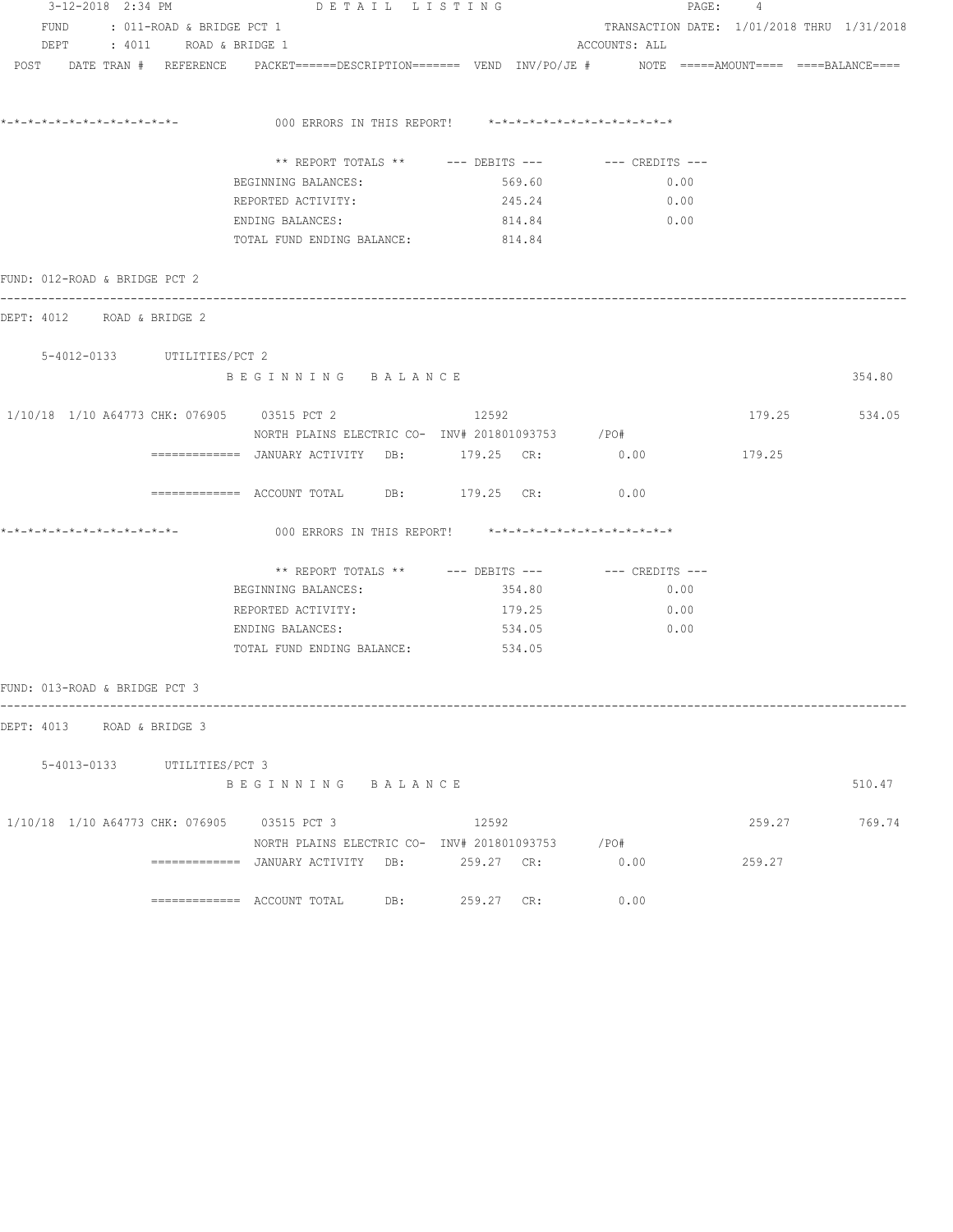| 3-12-2018 2:34 PM             |                                | DETAIL LISTING                                                                                                  |                                                      |                                            | PAGE: 4 |               |
|-------------------------------|--------------------------------|-----------------------------------------------------------------------------------------------------------------|------------------------------------------------------|--------------------------------------------|---------|---------------|
|                               | FUND : 011-ROAD & BRIDGE PCT 1 |                                                                                                                 |                                                      | TRANSACTION DATE: 1/01/2018 THRU 1/31/2018 |         |               |
|                               | DEPT : 4011 ROAD & BRIDGE 1    |                                                                                                                 |                                                      | ACCOUNTS: ALL                              |         |               |
|                               |                                | POST DATE TRAN # REFERENCE PACKET======DESCRIPTION======= VEND INV/PO/JE # NOTE =====AMOUNT==== ====BALANCE==== |                                                      |                                            |         |               |
|                               |                                |                                                                                                                 |                                                      |                                            |         |               |
| *-*-*-*-*-*-*-*-*-*-*-*-*-*-  |                                | 000 ERRORS IN THIS REPORT! *-*-*-*-*-*-*-*-*-*-*-*-*-*-                                                         |                                                      |                                            |         |               |
|                               |                                |                                                                                                                 | ** REPORT TOTALS ** --- DEBITS --- -- -- CREDITS --- |                                            |         |               |
|                               |                                | BEGINNING BALANCES:<br>REPORTED ACTIVITY:                                                                       | 569.60<br>245.24                                     | 0.00<br>0.00                               |         |               |
|                               |                                | ENDING BALANCES:                                                                                                | 814.84                                               | 0.00                                       |         |               |
|                               |                                | TOTAL FUND ENDING BALANCE: 814.84                                                                               |                                                      |                                            |         |               |
| FUND: 012-ROAD & BRIDGE PCT 2 |                                |                                                                                                                 |                                                      |                                            |         |               |
| DEPT: 4012 ROAD & BRIDGE 2    |                                |                                                                                                                 |                                                      |                                            |         |               |
|                               | 5-4012-0133 UTILITIES/PCT 2    |                                                                                                                 |                                                      |                                            |         |               |
|                               |                                | BEGINNING BALANCE                                                                                               |                                                      |                                            |         | 354.80        |
|                               |                                | 1/10/18 1/10 A64773 CHK: 076905 03515 PCT 2<br>NORTH PLAINS ELECTRIC CO- INV# 201801093753 / PO#                | 12592                                                |                                            |         | 179.25 534.05 |
|                               |                                | ============ JANUARY ACTIVITY DB: 179.25 CR: 0.00                                                               |                                                      |                                            | 179.25  |               |
|                               |                                | ============ ACCOUNT TOTAL DB: 179.25 CR: 0.00                                                                  |                                                      |                                            |         |               |
|                               |                                |                                                                                                                 |                                                      |                                            |         |               |
|                               |                                |                                                                                                                 | ** REPORT TOTALS ** --- DEBITS --- -- -- CREDITS --- |                                            |         |               |
|                               |                                | BEGINNING BALANCES:                                                                                             | 354.80                                               | 0.00                                       |         |               |
|                               |                                | REPORTED ACTIVITY:                                                                                              | 179.25                                               | 0.00                                       |         |               |
|                               |                                | ENDING BALANCES:                                                                                                | 534.05                                               | 0.00                                       |         |               |
|                               |                                | TOTAL FUND ENDING BALANCE: 534.05                                                                               |                                                      |                                            |         |               |
| FUND: 013-ROAD & BRIDGE PCT 3 |                                |                                                                                                                 |                                                      |                                            |         |               |
| DEPT: 4013 ROAD & BRIDGE 3    |                                |                                                                                                                 |                                                      |                                            |         |               |
|                               | 5-4013-0133 UTILITIES/PCT 3    |                                                                                                                 |                                                      |                                            |         |               |
|                               |                                | BEGINNING BALANCE                                                                                               |                                                      |                                            |         | 510.47        |
|                               |                                | 1/10/18 1/10 A64773 CHK: 076905 03515 PCT 3                                                                     | 12592                                                |                                            | 259.27  | 769.74        |
|                               |                                | NORTH PLAINS ELECTRIC CO- INV# 201801093753 / PO#                                                               |                                                      |                                            |         |               |
|                               |                                | =============   JANUARY  ACTIVITY     DB:               259.27     CR:                                          |                                                      | 0.00                                       | 259.27  |               |
|                               |                                |                                                                                                                 | 259.27 CR:                                           | 0.00                                       |         |               |